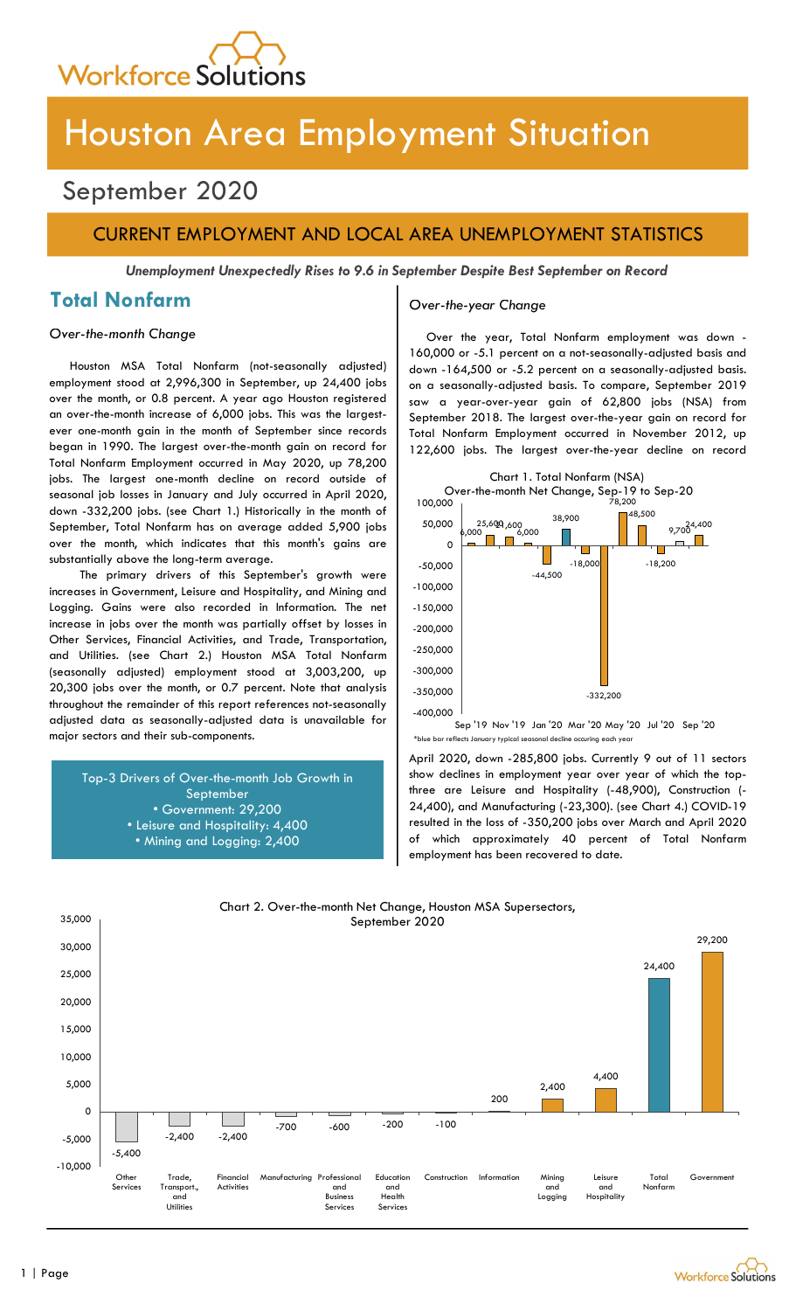

# Houston Area Employment Situation

# September 2020

### CURRENT EMPLOYMENT AND LOCAL AREA UNEMPLOYMENT STATISTICS

Unemployment Unexpectedly Rises to 9.6 in September Despite Best September on Record

### Total Nonfarm

#### Over-the-month Change

Houston MSA Total Nonfarm (not-seasonally adjusted) employment stood at 2,996,300 in September, up 24,400 jobs over the month, or 0.8 percent. A year ago Houston registered an over-the-month increase of 6,000 jobs. This was the largestever one-month gain in the month of September since records began in 1990. The largest over-the-month gain on record for Total Nonfarm Employment occurred in May 2020, up 78,200 jobs. The largest one-month decline on record outside of seasonal job losses in January and July occurred in April 2020, down -332,200 jobs. (see Chart 1.) Historically in the month of September, Total Nonfarm has on average added 5,900 jobs over the month, which indicates that this month's gains are substantially above the long-term average.

The primary drivers of this September's growth were increases in Government, Leisure and Hospitality, and Mining and Logging. Gains were also recorded in Information. The net increase in jobs over the month was partially offset by losses in Other Services, Financial Activities, and Trade, Transportation, and Utilities. (see Chart 2.) Houston MSA Total Nonfarm (seasonally adjusted) employment stood at 3,003,200, up 20,300 jobs over the month, or 0.7 percent. Note that analysis throughout the remainder of this report references not-seasonally adjusted data as seasonally-adjusted data is unavailable for major sectors and their sub-components.

Top-3 Drivers of Over-the-month Job Growth in September • Government: 29,200 • Leisure and Hospitality: 4,400 • Mining and Logging: 2,400

#### Over-the-year Change

Over the year, Total Nonfarm employment was down - 160,000 or -5.1 percent on a not-seasonally-adjusted basis and down -164,500 or -5.2 percent on a seasonally-adjusted basis. on a seasonally-adjusted basis. To compare, September 2019 saw a year-over-year gain of 62,800 jobs (NSA) from September 2018. The largest over-the-year gain on record for Total Nonfarm Employment occurred in November 2012, up 122,600 jobs. The largest over-the-year decline on record



-400,000 <sup>|</sup><br>19 Nov '19 Jan '20 Mar '20 May '20 Jul '20 Sep '20 Sep '20

April 2020, down -285,800 jobs. Currently 9 out of 11 sectors show declines in employment year over year of which the topthree are Leisure and Hospitality (-48,900), Construction (- 24,400), and Manufacturing (-23,300). (see Chart 4.) COVID-19 resulted in the loss of -350,200 jobs over March and April 2020 of which approximately 40 percent of Total Nonfarm employment has been recovered to date.



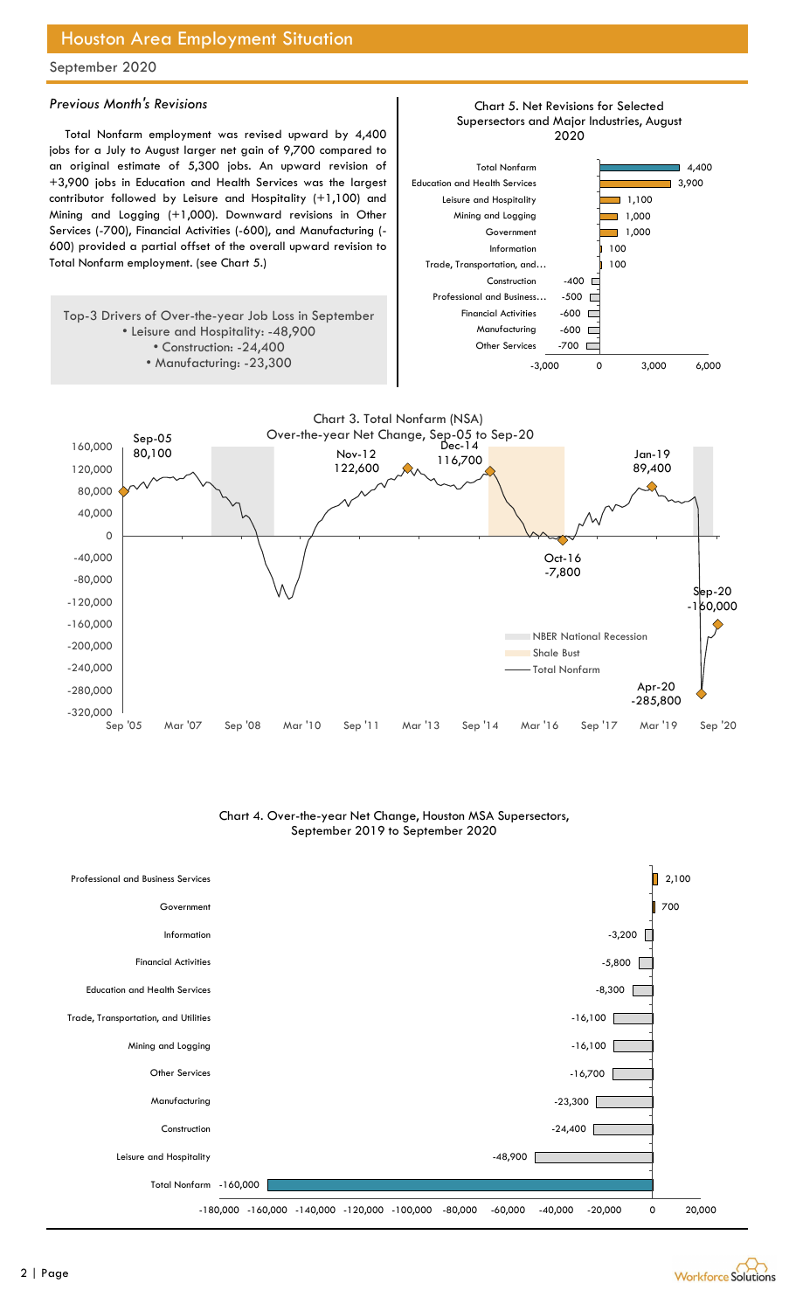### Houston Area Employment Situation

September 2020

#### Previous Month's Revisions

Total Nonfarm employment was revised upward by 4,400 jobs for a July to August larger net gain of 9,700 compared to an original estimate of 5,300 jobs. An upward revision of +3,900 jobs in Education and Health Services was the largest contributor followed by Leisure and Hospitality (+1,100) and Mining and Logging (+1,000). Downward revisions in Other Services (-700), Financial Activities (-600), and Manufacturing (- 600) provided a partial offset of the overall upward revision to Total Nonfarm employment. (see Chart 5.)

Top-3 Drivers of Over-the-year Job Loss in September • Leisure and Hospitality: -48,900 • Construction: -24,400 • Manufacturing: -23,300





#### Chart 4. Over-the-year Net Change, Houston MSA Supersectors, September 2019 to September 2020



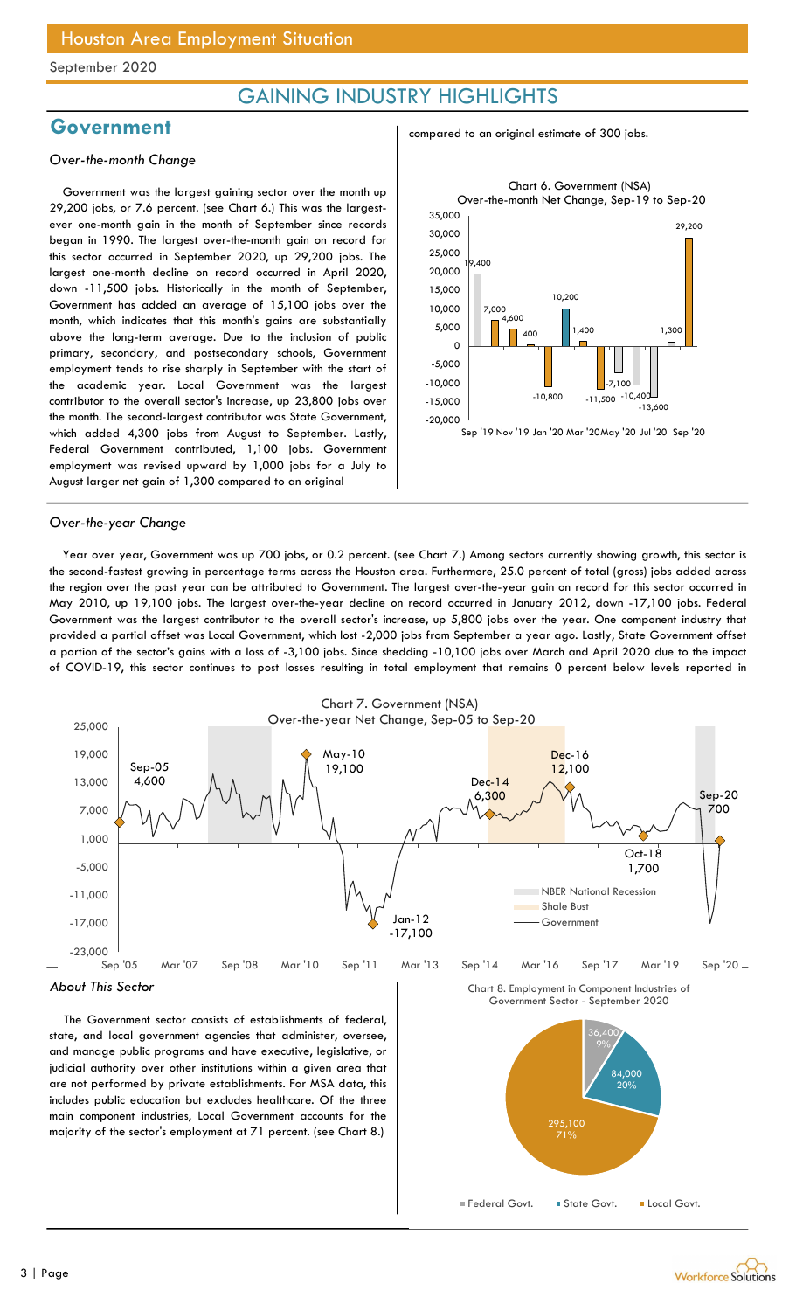### GAINING INDUSTRY HIGHLIGHTS

### Government

#### Over-the-month Change

Government was the largest gaining sector over the month up 29,200 jobs, or 7.6 percent. (see Chart 6.) This was the largestever one-month gain in the month of September since records began in 1990. The largest over-the-month gain on record for this sector occurred in September 2020, up 29,200 jobs. The largest one-month decline on record occurred in April 2020, down -11,500 jobs. Historically in the month of September, Government has added an average of 15,100 jobs over the month, which indicates that this month's gains are substantially above the long-term average. Due to the inclusion of public primary, secondary, and postsecondary schools, Government employment tends to rise sharply in September with the start of the academic year. Local Government was the largest contributor to the overall sector's increase, up 23,800 jobs over the month. The second-largest contributor was State Government, which added 4,300 jobs from August to September. Lastly, Federal Government contributed, 1,100 jobs. Government employment was revised upward by 1,000 jobs for a July to August larger net gain of 1,300 compared to an original

#### compared to an original estimate of 300 jobs.



#### Over-the-year Change

Year over year, Government was up 700 jobs, or 0.2 percent. (see Chart 7.) Among sectors currently showing growth, this sector is the second-fastest growing in percentage terms across the Houston area. Furthermore, 25.0 percent of total (gross) jobs added across the region over the past year can be attributed to Government. The largest over-the-year gain on record for this sector occurred in May 2010, up 19,100 jobs. The largest over-the-year decline on record occurred in January 2012, down -17,100 jobs. Federal Government was the largest contributor to the overall sector's increase, up 5,800 jobs over the year. One component industry that provided a partial offset was Local Government, which lost -2,000 jobs from September a year ago. Lastly, State Government offset a portion of the sector's gains with a loss of -3,100 jobs. Since shedding -10,100 jobs over March and April 2020 due to the impact of COVID-19, this sector continues to post losses resulting in total employment that remains 0 percent below levels reported in



The Government sector consists of establishments of federal, state, and local government agencies that administer, oversee, and manage public programs and have executive, legislative, or judicial authority over other institutions within a given area that are not performed by private establishments. For MSA data, this includes public education but excludes healthcare. Of the three main component industries, Local Government accounts for the majority of the sector's employment at 71 percent. (see Chart 8.)



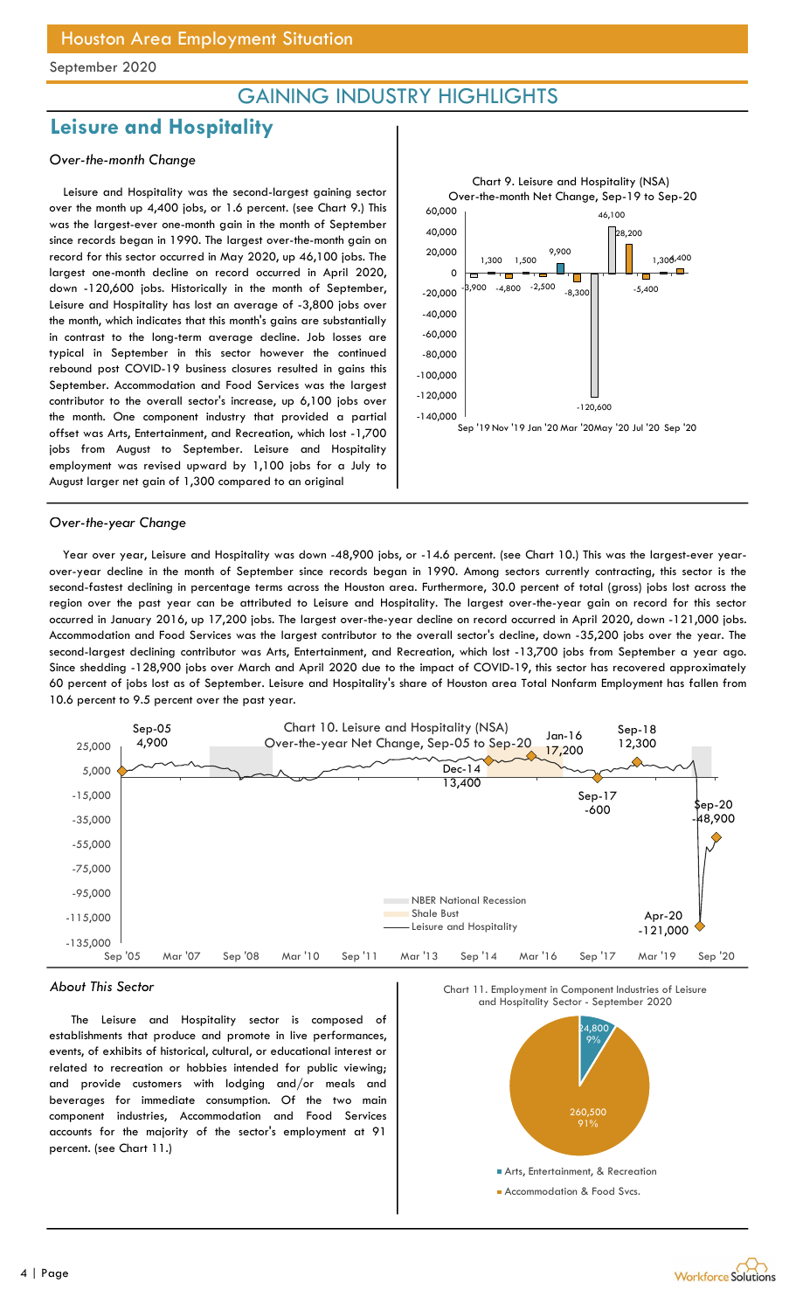### GAINING INDUSTRY HIGHLIGHTS

### Leisure and Hospitality

#### Over-the-month Change

Leisure and Hospitality was the second-largest gaining sector over the month up 4,400 jobs, or 1.6 percent. (see Chart 9.) This was the largest-ever one-month gain in the month of September since records began in 1990. The largest over-the-month gain on record for this sector occurred in May 2020, up 46,100 jobs. The largest one-month decline on record occurred in April 2020, down -120,600 jobs. Historically in the month of September, Leisure and Hospitality has lost an average of -3,800 jobs over the month, which indicates that this month's gains are substantially in contrast to the long-term average decline. Job losses are typical in September in this sector however the continued rebound post COVID-19 business closures resulted in gains this September. Accommodation and Food Services was the largest contributor to the overall sector's increase, up 6,100 jobs over the month. One component industry that provided a partial offset was Arts, Entertainment, and Recreation, which lost -1,700 jobs from August to September. Leisure and Hospitality employment was revised upward by 1,100 jobs for a July to August larger net gain of 1,300 compared to an original



#### Over-the-year Change

Year over year, Leisure and Hospitality was down -48,900 jobs, or -14.6 percent. (see Chart 10.) This was the largest-ever yearover-year decline in the month of September since records began in 1990. Among sectors currently contracting, this sector is the second-fastest declining in percentage terms across the Houston area. Furthermore, 30.0 percent of total (gross) jobs lost across the region over the past year can be attributed to Leisure and Hospitality. The largest over-the-year gain on record for this sector occurred in January 2016, up 17,200 jobs. The largest over-the-year decline on record occurred in April 2020, down -121,000 jobs. Accommodation and Food Services was the largest contributor to the overall sector's decline, down -35,200 jobs over the year. The second-largest declining contributor was Arts, Entertainment, and Recreation, which lost -13,700 jobs from September a year ago. Since shedding -128,900 jobs over March and April 2020 due to the impact of COVID-19, this sector has recovered approximately 60 percent of jobs lost as of September. Leisure and Hospitality's share of Houston area Total Nonfarm Employment has fallen from 10.6 percent to 9.5 percent over the past year.



#### About This Sector

The Leisure and Hospitality sector is composed of establishments that produce and promote in live performances, events, of exhibits of historical, cultural, or educational interest or related to recreation or hobbies intended for public viewing; and provide customers with lodging and/or meals and beverages for immediate consumption. Of the two main component industries, Accommodation and Food Services accounts for the majority of the sector's employment at 91 percent. (see Chart 11.)



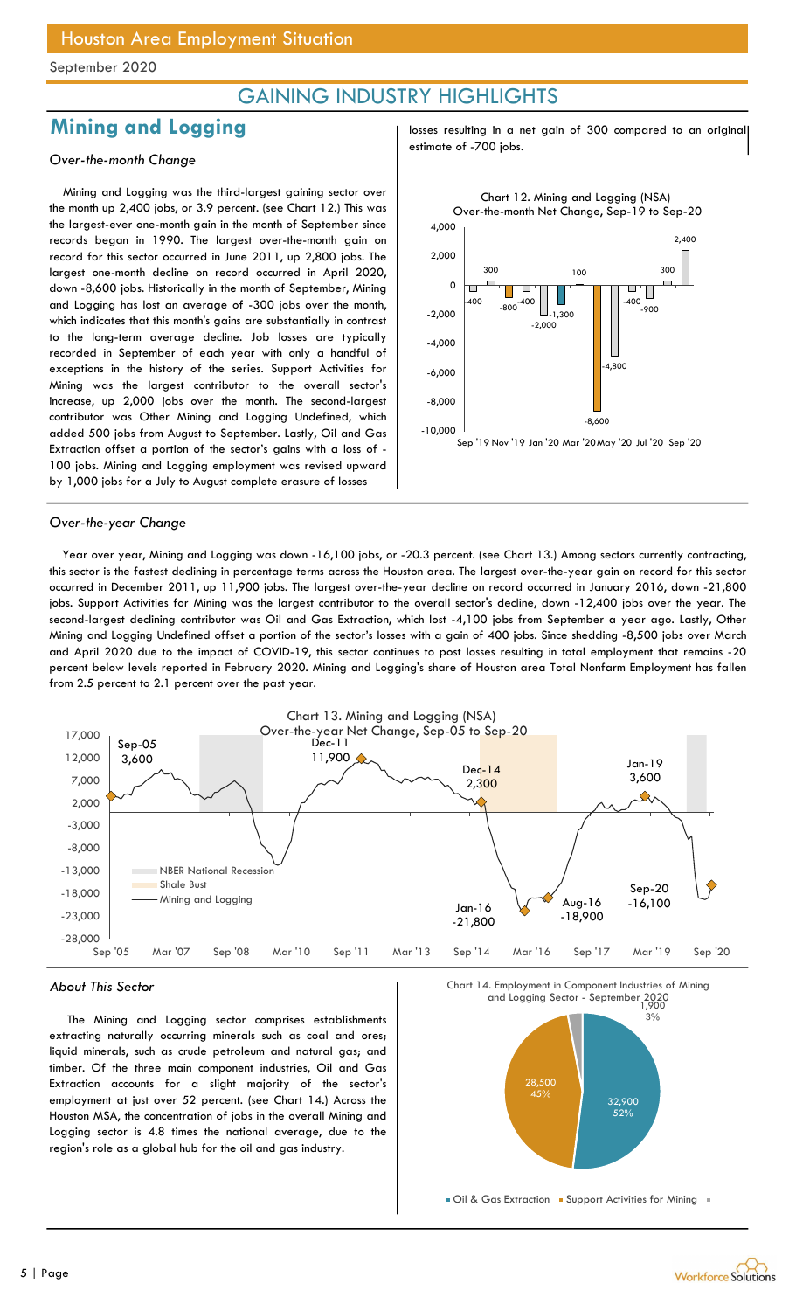### GAINING INDUSTRY HIGHLIGHTS

### Mining and Logging

#### Over-the-month Change

Mining and Logging was the third-largest gaining sector over the month up 2,400 jobs, or 3.9 percent. (see Chart 12.) This was the largest-ever one-month gain in the month of September since records began in 1990. The largest over-the-month gain on record for this sector occurred in June 2011, up 2,800 jobs. The largest one-month decline on record occurred in April 2020, down -8,600 jobs. Historically in the month of September, Mining and Logging has lost an average of -300 jobs over the month, which indicates that this month's gains are substantially in contrast to the long-term average decline. Job losses are typically recorded in September of each year with only a handful of exceptions in the history of the series. Support Activities for Mining was the largest contributor to the overall sector's increase, up 2,000 jobs over the month. The second-largest contributor was Other Mining and Logging Undefined, which added 500 jobs from August to September. Lastly, Oil and Gas Extraction offset a portion of the sector's gains with a loss of - 100 jobs. Mining and Logging employment was revised upward by 1,000 jobs for a July to August complete erasure of losses

losses resulting in a net gain of 300 compared to an original estimate of -700 jobs.



#### Over-the-year Change

Year over year, Mining and Logging was down -16,100 jobs, or -20.3 percent. (see Chart 13.) Among sectors currently contracting, this sector is the fastest declining in percentage terms across the Houston area. The largest over-the-year gain on record for this sector occurred in December 2011, up 11,900 jobs. The largest over-the-year decline on record occurred in January 2016, down -21,800 jobs. Support Activities for Mining was the largest contributor to the overall sector's decline, down -12,400 jobs over the year. The second-largest declining contributor was Oil and Gas Extraction, which lost -4,100 jobs from September a year ago. Lastly, Other Mining and Logging Undefined offset a portion of the sector's losses with a gain of 400 jobs. Since shedding -8,500 jobs over March and April 2020 due to the impact of COVID-19, this sector continues to post losses resulting in total employment that remains -20 percent below levels reported in February 2020. Mining and Logging's share of Houston area Total Nonfarm Employment has fallen from 2.5 percent to 2.1 percent over the past year.



#### About This Sector

The Mining and Logging sector comprises establishments extracting naturally occurring minerals such as coal and ores; liquid minerals, such as crude petroleum and natural gas; and timber. Of the three main component industries, Oil and Gas Extraction accounts for a slight majority of the sector's employment at just over 52 percent. (see Chart 14.) Across the Houston MSA, the concentration of jobs in the overall Mining and Logging sector is 4.8 times the national average, due to the region's role as a global hub for the oil and gas industry.



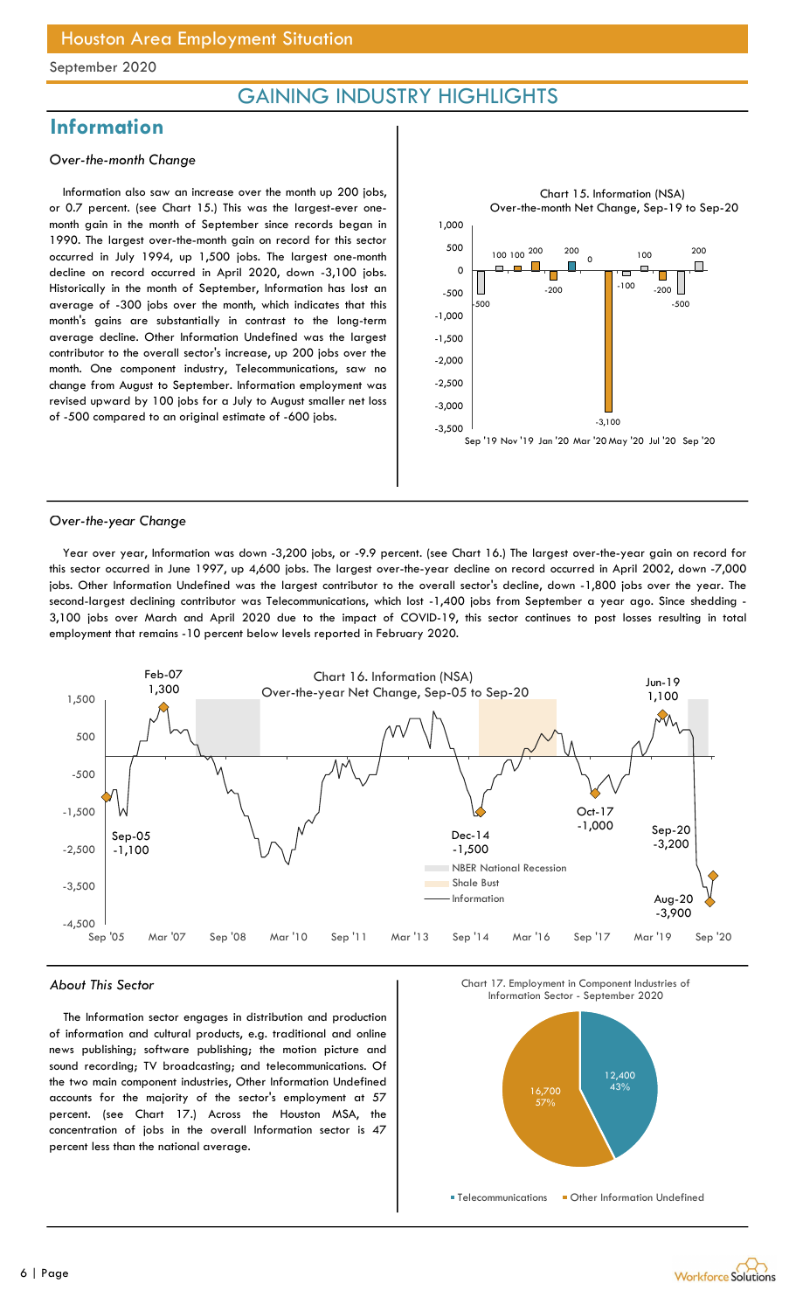### GAINING INDUSTRY HIGHLIGHTS

### **Information**

#### Over-the-month Change

Information also saw an increase over the month up 200 jobs, or 0.7 percent. (see Chart 15.) This was the largest-ever onemonth gain in the month of September since records began in 1990. The largest over-the-month gain on record for this sector occurred in July 1994, up 1,500 jobs. The largest one-month decline on record occurred in April 2020, down -3,100 jobs. Historically in the month of September, Information has lost an average of -300 jobs over the month, which indicates that this month's gains are substantially in contrast to the long-term average decline. Other Information Undefined was the largest contributor to the overall sector's increase, up 200 jobs over the month. One component industry, Telecommunications, saw no change from August to September. Information employment was revised upward by 100 jobs for a July to August smaller net loss of -500 compared to an original estimate of -600 jobs.



#### Over-the-year Change

Year over year, Information was down -3,200 jobs, or -9.9 percent. (see Chart 16.) The largest over-the-year gain on record for this sector occurred in June 1997, up 4,600 jobs. The largest over-the-year decline on record occurred in April 2002, down -7,000 jobs. Other Information Undefined was the largest contributor to the overall sector's decline, down -1,800 jobs over the year. The second-largest declining contributor was Telecommunications, which lost -1,400 jobs from September a year ago. Since shedding - 3,100 jobs over March and April 2020 due to the impact of COVID-19, this sector continues to post losses resulting in total employment that remains -10 percent below levels reported in February 2020.



#### About This Sector

The Information sector engages in distribution and production of information and cultural products, e.g. traditional and online news publishing; software publishing; the motion picture and sound recording; TV broadcasting; and telecommunications. Of the two main component industries, Other Information Undefined accounts for the majority of the sector's employment at 57 percent. (see Chart 17.) Across the Houston MSA, the concentration of jobs in the overall Information sector is 47 percent less than the national average.



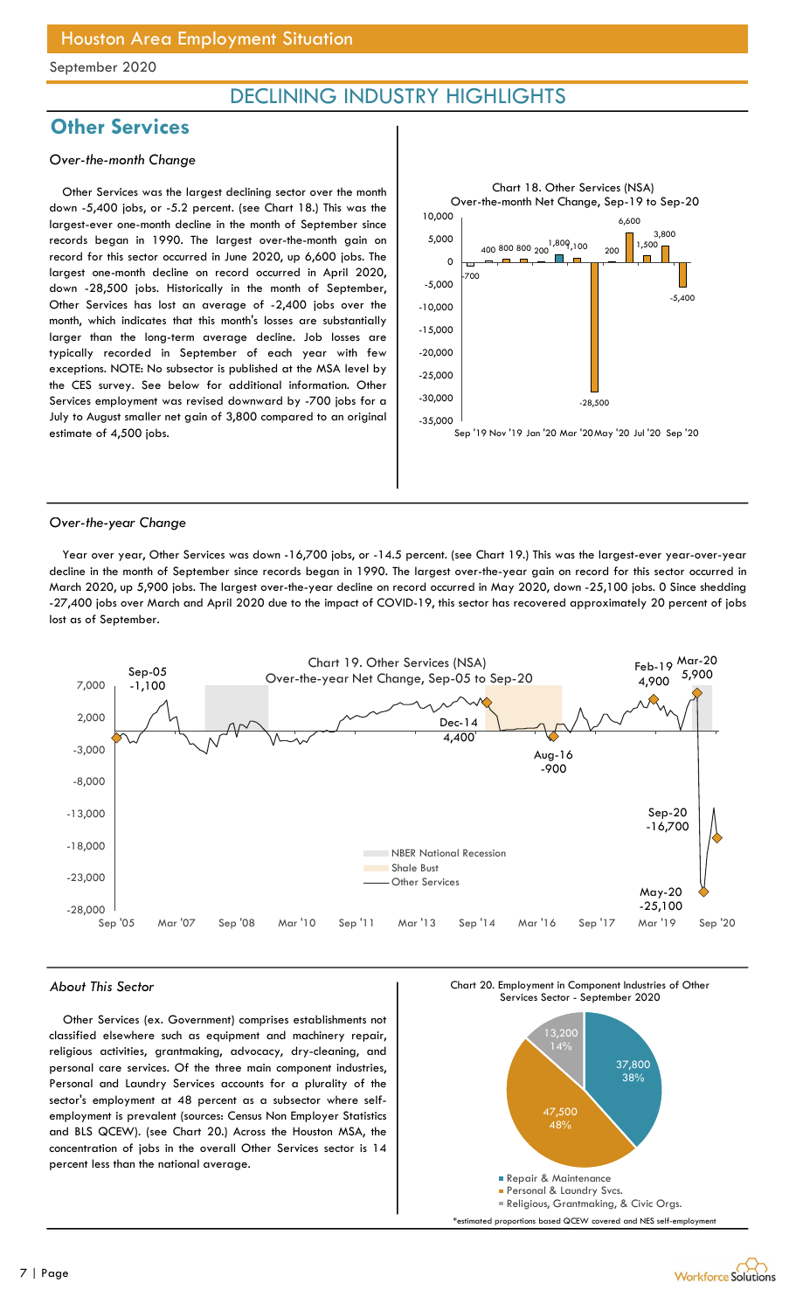### DECLINING INDUSTRY HIGHLIGHTS

### **Other Services**

#### Over-the-month Change

Other Services was the largest declining sector over the month down -5,400 jobs, or -5.2 percent. (see Chart 18.) This was the largest-ever one-month decline in the month of September since records began in 1990. The largest over-the-month gain on record for this sector occurred in June 2020, up 6,600 jobs. The largest one-month decline on record occurred in April 2020, down -28,500 jobs. Historically in the month of September, Other Services has lost an average of -2,400 jobs over the month, which indicates that this month's losses are substantially larger than the long-term average decline. Job losses are typically recorded in September of each year with few exceptions. NOTE: No subsector is published at the MSA level by the CES survey. See below for additional information. Other Services employment was revised downward by -700 jobs for a July to August smaller net gain of 3,800 compared to an original estimate of 4,500 jobs.



#### Over-the-year Change

Year over year, Other Services was down -16,700 jobs, or -14.5 percent. (see Chart 19.) This was the largest-ever year-over-year decline in the month of September since records began in 1990. The largest over-the-year gain on record for this sector occurred in March 2020, up 5,900 jobs. The largest over-the-year decline on record occurred in May 2020, down -25,100 jobs. 0 Since shedding -27,400 jobs over March and April 2020 due to the impact of COVID-19, this sector has recovered approximately 20 percent of jobs lost as of September.



#### About This Sector

Other Services (ex. Government) comprises establishments not classified elsewhere such as equipment and machinery repair, religious activities, grantmaking, advocacy, dry-cleaning, and personal care services. Of the three main component industries, Personal and Laundry Services accounts for a plurality of the sector's employment at 48 percent as a subsector where selfemployment is prevalent (sources: Census Non Employer Statistics and BLS QCEW). (see Chart 20.) Across the Houston MSA, the concentration of jobs in the overall Other Services sector is 14 percent less than the national average.

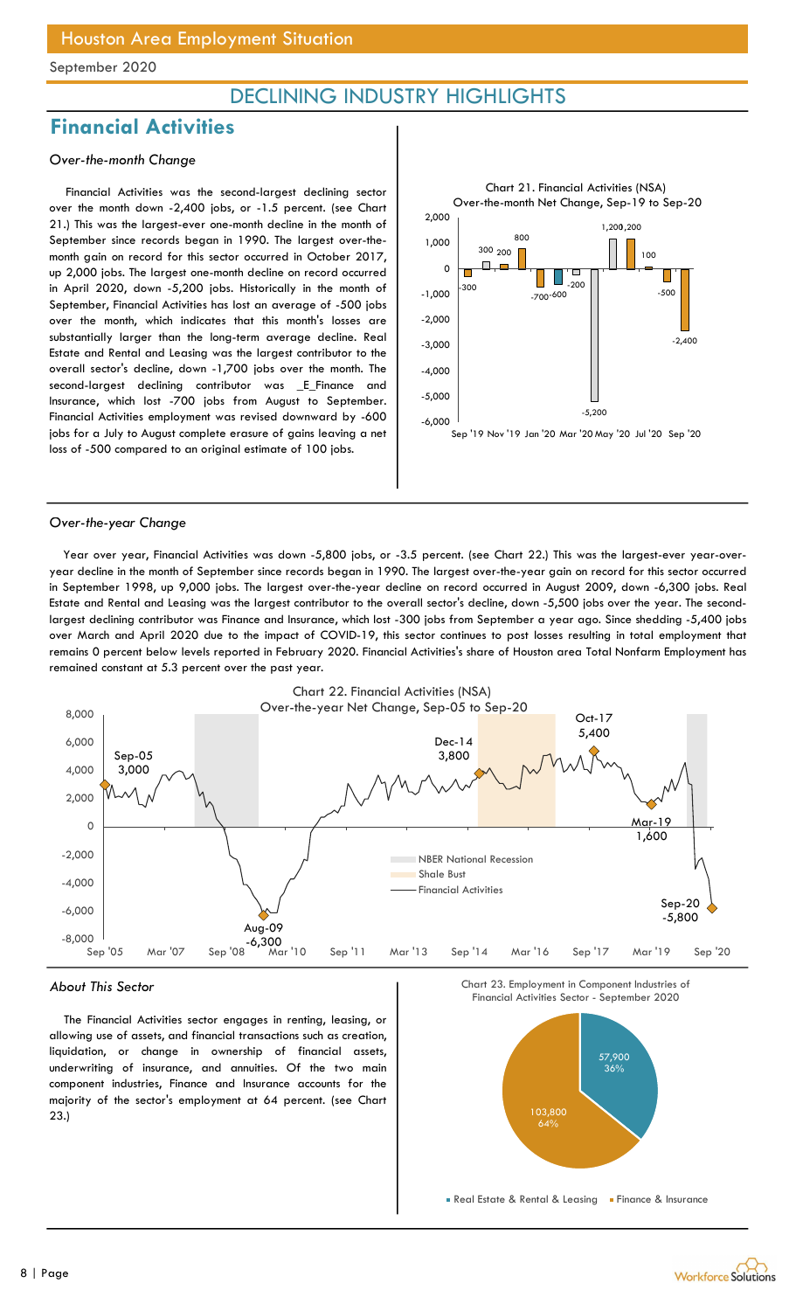### DECLINING INDUSTRY HIGHLIGHTS

### Financial Activities

#### Over-the-month Change

Financial Activities was the second-largest declining sector over the month down -2,400 jobs, or -1.5 percent. (see Chart 21.) This was the largest-ever one-month decline in the month of September since records began in 1990. The largest over-themonth gain on record for this sector occurred in October 2017, up 2,000 jobs. The largest one-month decline on record occurred in April 2020, down -5,200 jobs. Historically in the month of September, Financial Activities has lost an average of -500 jobs over the month, which indicates that this month's losses are substantially larger than the long-term average decline. Real Estate and Rental and Leasing was the largest contributor to the overall sector's decline, down -1,700 jobs over the month. The second-largest declining contributor was \_E\_Finance and Insurance, which lost -700 jobs from August to September. Financial Activities employment was revised downward by -600 jobs for a July to August complete erasure of gains leaving a net loss of -500 compared to an original estimate of 100 jobs.



#### Over-the-year Change

Year over year, Financial Activities was down -5,800 jobs, or -3.5 percent. (see Chart 22.) This was the largest-ever year-overyear decline in the month of September since records began in 1990. The largest over-the-year gain on record for this sector occurred in September 1998, up 9,000 jobs. The largest over-the-year decline on record occurred in August 2009, down -6,300 jobs. Real Estate and Rental and Leasing was the largest contributor to the overall sector's decline, down -5,500 jobs over the year. The secondlargest declining contributor was Finance and Insurance, which lost -300 jobs from September a year ago. Since shedding -5,400 jobs over March and April 2020 due to the impact of COVID-19, this sector continues to post losses resulting in total employment that remains 0 percent below levels reported in February 2020. Financial Activities's share of Houston area Total Nonfarm Employment has remained constant at 5.3 percent over the past year.



#### About This Sector

The Financial Activities sector engages in renting, leasing, or allowing use of assets, and financial transactions such as creation, liquidation, or change in ownership of financial assets, underwriting of insurance, and annuities. Of the two main component industries, Finance and Insurance accounts for the majority of the sector's employment at 64 percent. (see Chart 23.)



**Real Estate & Rental & Leasing Finance & Insurance** 

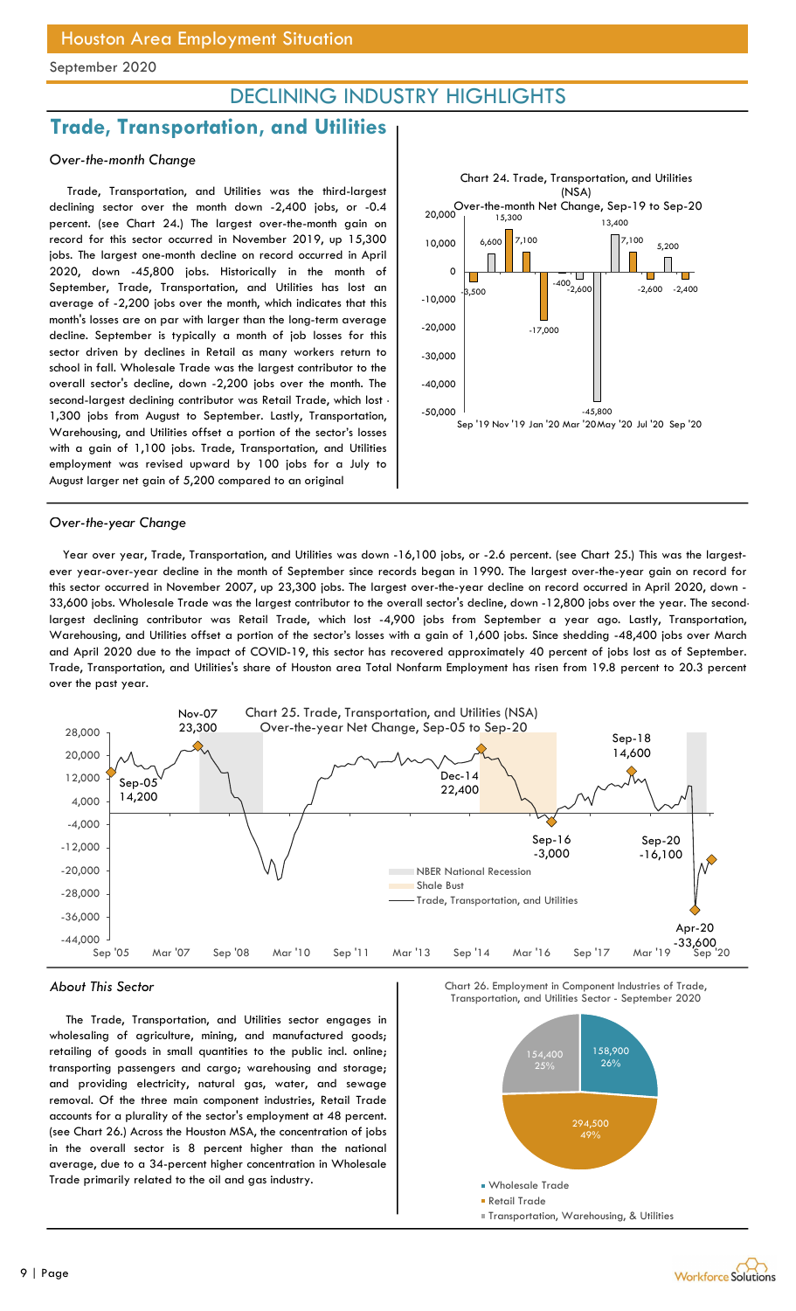### DECLINING INDUSTRY HIGHLIGHTS

### Trade, Transportation, and Utilities

#### Over-the-month Change

Trade, Transportation, and Utilities was the third-largest declining sector over the month down -2,400 jobs, or -0.4 percent. (see Chart 24.) The largest over-the-month gain on record for this sector occurred in November 2019, up 15,300 jobs. The largest one-month decline on record occurred in April 2020, down -45,800 jobs. Historically in the month of September, Trade, Transportation, and Utilities has lost an average of -2,200 jobs over the month, which indicates that this month's losses are on par with larger than the long-term average decline. September is typically a month of job losses for this sector driven by declines in Retail as many workers return to school in fall. Wholesale Trade was the largest contributor to the overall sector's decline, down -2,200 jobs over the month. The second-largest declining contributor was Retail Trade, which lost - 1,300 jobs from August to September. Lastly, Transportation, Warehousing, and Utilities offset a portion of the sector's losses with a gain of 1,100 jobs. Trade, Transportation, and Utilities employment was revised upward by 100 jobs for a July to August larger net gain of 5,200 compared to an original



#### Over-the-year Change

Year over year, Trade, Transportation, and Utilities was down -16,100 jobs, or -2.6 percent. (see Chart 25.) This was the largestever year-over-year decline in the month of September since records began in 1990. The largest over-the-year gain on record for this sector occurred in November 2007, up 23,300 jobs. The largest over-the-year decline on record occurred in April 2020, down - 33,600 jobs. Wholesale Trade was the largest contributor to the overall sector's decline, down -12,800 jobs over the year. The secondlargest declining contributor was Retail Trade, which lost -4,900 jobs from September a year ago. Lastly, Transportation, Warehousing, and Utilities offset a portion of the sector's losses with a gain of 1,600 jobs. Since shedding -48,400 jobs over March and April 2020 due to the impact of COVID-19, this sector has recovered approximately 40 percent of jobs lost as of September. Trade, Transportation, and Utilities's share of Houston area Total Nonfarm Employment has risen from 19.8 percent to 20.3 percent over the past year.



#### About This Sector

The Trade, Transportation, and Utilities sector engages in wholesaling of agriculture, mining, and manufactured goods; retailing of goods in small quantities to the public incl. online; transporting passengers and cargo; warehousing and storage; and providing electricity, natural gas, water, and sewage removal. Of the three main component industries, Retail Trade accounts for a plurality of the sector's employment at 48 percent. (see Chart 26.) Across the Houston MSA, the concentration of jobs in the overall sector is 8 percent higher than the national average, due to a 34-percent higher concentration in Wholesale Trade primarily related to the oil and gas industry.

Chart 26. Employment in Component Industries of Trade,

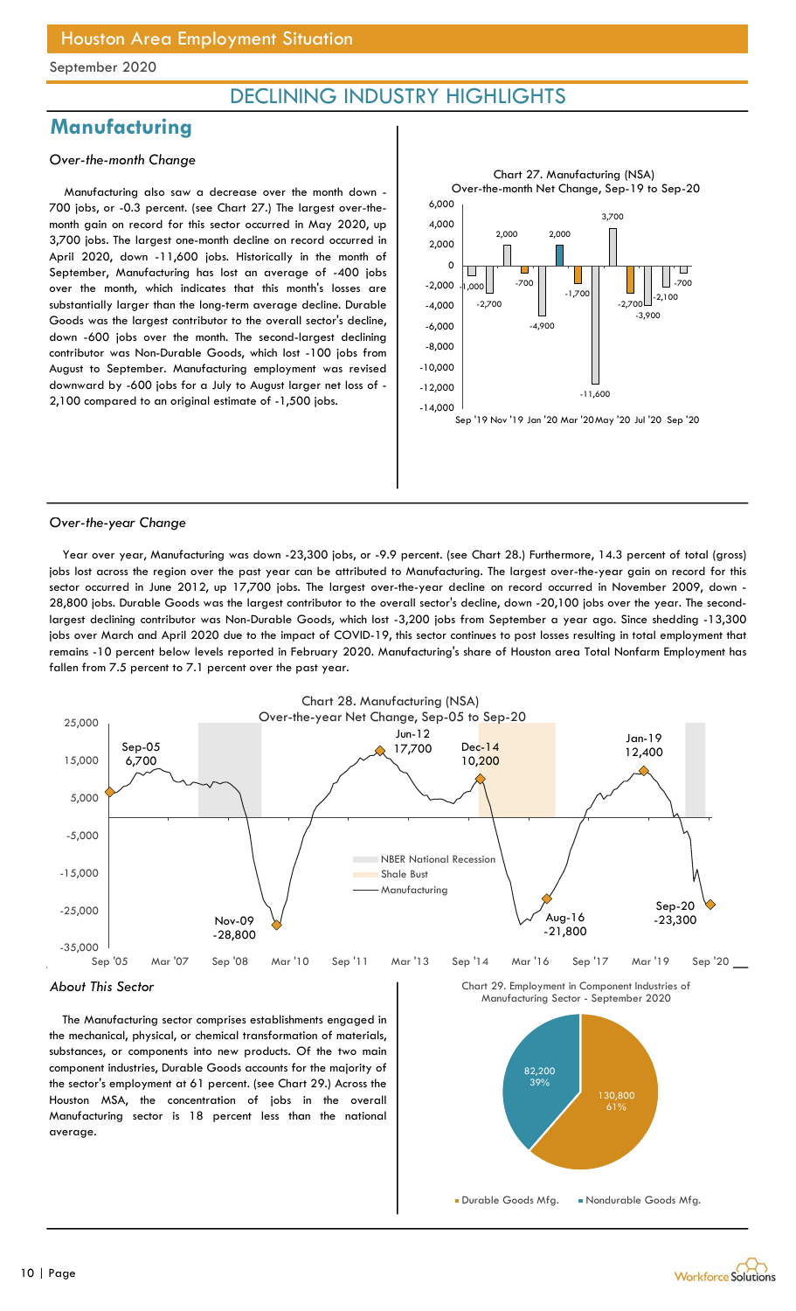### DECLINING INDUSTRY HIGHLIGHTS

### **Manufacturing**

#### Over-the-month Change

Manufacturing also saw a decrease over the month down - 700 jobs, or -0.3 percent. (see Chart 27.) The largest over-themonth gain on record for this sector occurred in May 2020, up 3,700 jobs. The largest one-month decline on record occurred in April 2020, down -11,600 jobs. Historically in the month of September, Manufacturing has lost an average of -400 jobs over the month, which indicates that this month's losses are substantially larger than the long-term average decline. Durable Goods was the largest contributor to the overall sector's decline, down -600 jobs over the month. The second-largest declining contributor was Non-Durable Goods, which lost -100 jobs from August to September. Manufacturing employment was revised downward by -600 jobs for a July to August larger net loss of - 2,100 compared to an original estimate of -1,500 jobs.



#### Over-the-year Change

Year over year, Manufacturing was down -23,300 jobs, or -9.9 percent. (see Chart 28.) Furthermore, 14.3 percent of total (gross) jobs lost across the region over the past year can be attributed to Manufacturing. The largest over-the-year gain on record for this sector occurred in June 2012, up 17,700 jobs. The largest over-the-year decline on record occurred in November 2009, down - 28,800 jobs. Durable Goods was the largest contributor to the overall sector's decline, down -20,100 jobs over the year. The secondlargest declining contributor was Non-Durable Goods, which lost -3,200 jobs from September a year ago. Since shedding -13,300 jobs over March and April 2020 due to the impact of COVID-19, this sector continues to post losses resulting in total employment that remains -10 percent below levels reported in February 2020. Manufacturing's share of Houston area Total Nonfarm Employment has fallen from 7.5 percent to 7.1 percent over the past year.



the mechanical, physical, or chemical transformation of materials, substances, or components into new products. Of the two main component industries, Durable Goods accounts for the majority of the sector's employment at 61 percent. (see Chart 29.) Across the Houston MSA, the concentration of jobs in the overall Manufacturing sector is 18 percent less than the national average.

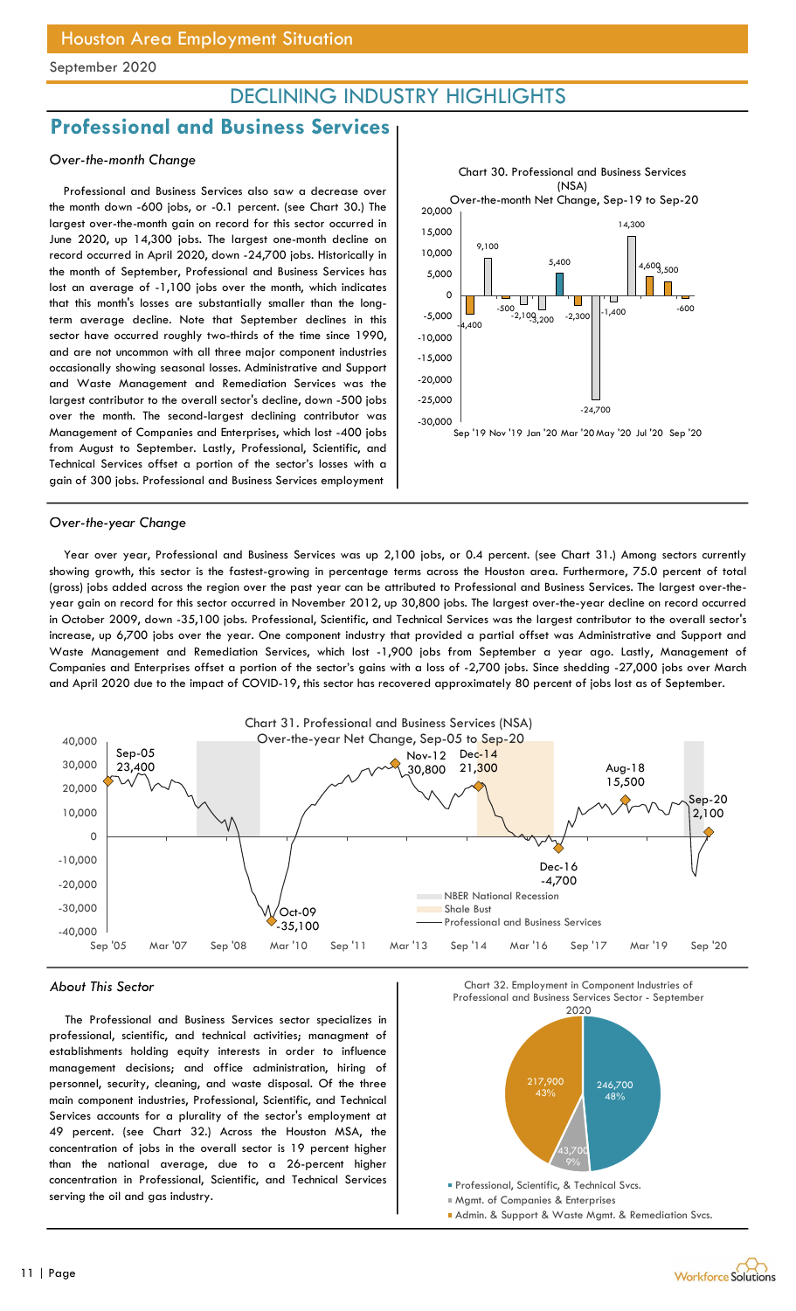### DECLINING INDUSTRY HIGHLIGHTS

### Professional and Business Services

#### Over-the-month Change

Professional and Business Services also saw a decrease over the month down -600 jobs, or -0.1 percent. (see Chart 30.) The largest over-the-month gain on record for this sector occurred in June 2020, up 14,300 jobs. The largest one-month decline on record occurred in April 2020, down -24,700 jobs. Historically in the month of September, Professional and Business Services has lost an average of -1,100 jobs over the month, which indicates that this month's losses are substantially smaller than the longterm average decline. Note that September declines in this sector have occurred roughly two-thirds of the time since 1990, and are not uncommon with all three major component industries occasionally showing seasonal losses. Administrative and Support and Waste Management and Remediation Services was the largest contributor to the overall sector's decline, down -500 jobs over the month. The second-largest declining contributor was Management of Companies and Enterprises, which lost -400 jobs from August to September. Lastly, Professional, Scientific, and Technical Services offset a portion of the sector's losses with a gain of 300 jobs. Professional and Business Services employment



#### Over-the-year Change

Year over year, Professional and Business Services was up 2,100 jobs, or 0.4 percent. (see Chart 31.) Among sectors currently showing growth, this sector is the fastest-growing in percentage terms across the Houston area. Furthermore, 75.0 percent of total (gross) jobs added across the region over the past year can be attributed to Professional and Business Services. The largest over-theyear gain on record for this sector occurred in November 2012, up 30,800 jobs. The largest over-the-year decline on record occurred in October 2009, down -35,100 jobs. Professional, Scientific, and Technical Services was the largest contributor to the overall sector's increase, up 6,700 jobs over the year. One component industry that provided a partial offset was Administrative and Support and Waste Management and Remediation Services, which lost -1,900 jobs from September a year ago. Lastly, Management of Companies and Enterprises offset a portion of the sector's gains with a loss of -2,700 jobs. Since shedding -27,000 jobs over March and April 2020 due to the impact of COVID-19, this sector has recovered approximately 80 percent of jobs lost as of September.



#### About This Sector

The Professional and Business Services sector specializes in professional, scientific, and technical activities; managment of establishments holding equity interests in order to influence management decisions; and office administration, hiring of personnel, security, cleaning, and waste disposal. Of the three main component industries, Professional, Scientific, and Technical Services accounts for a plurality of the sector's employment at 49 percent. (see Chart 32.) Across the Houston MSA, the concentration of jobs in the overall sector is 19 percent higher than the national average, due to a 26-percent higher concentration in Professional, Scientific, and Technical Services serving the oil and gas industry.

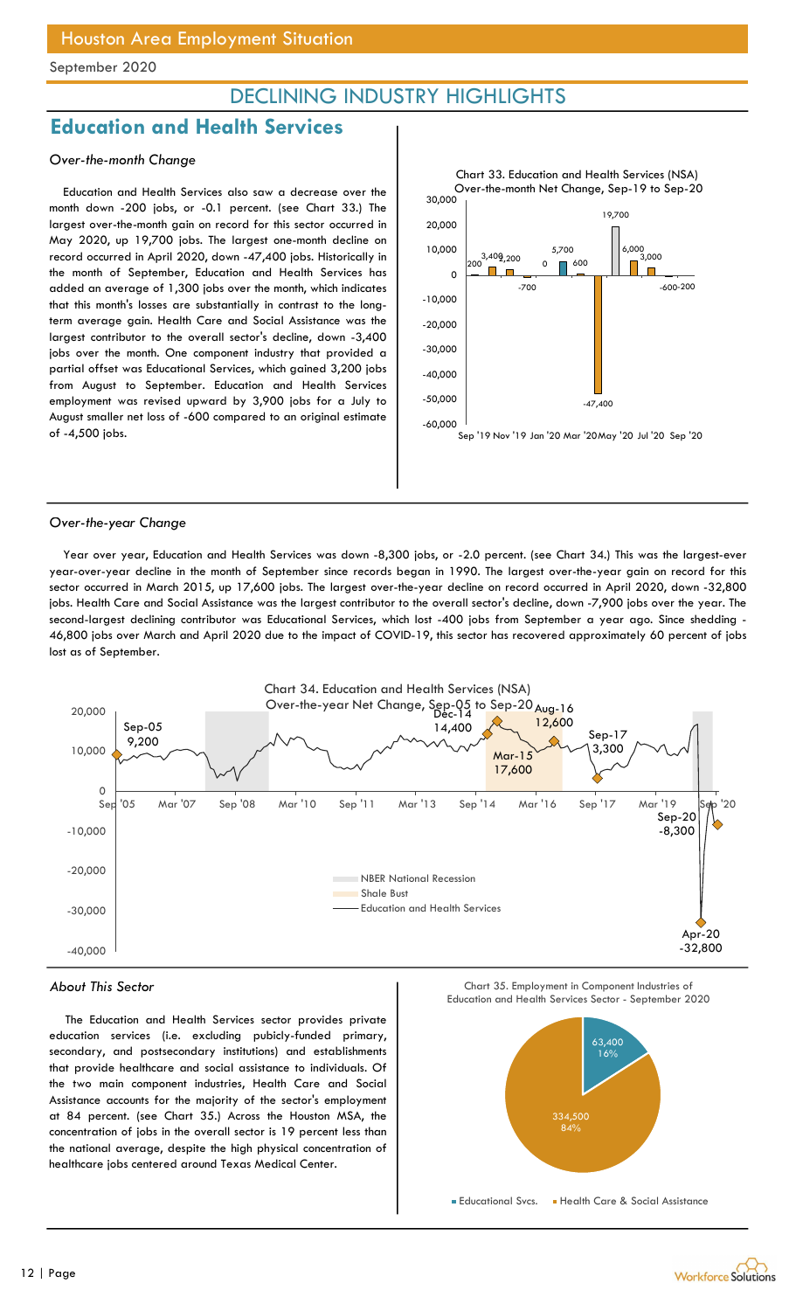### DECLINING INDUSTRY HIGHLIGHTS

### Education and Health Services

#### Over-the-month Change

Education and Health Services also saw a decrease over the month down -200 jobs, or -0.1 percent. (see Chart 33.) The largest over-the-month gain on record for this sector occurred in May 2020, up 19,700 jobs. The largest one-month decline on record occurred in April 2020, down -47,400 jobs. Historically in the month of September, Education and Health Services has added an average of 1,300 jobs over the month, which indicates that this month's losses are substantially in contrast to the longterm average gain. Health Care and Social Assistance was the largest contributor to the overall sector's decline, down -3,400 jobs over the month. One component industry that provided a partial offset was Educational Services, which gained 3,200 jobs from August to September. Education and Health Services employment was revised upward by 3,900 jobs for a July to August smaller net loss of -600 compared to an original estimate of -4,500 jobs.



#### Over-the-year Change

Year over year, Education and Health Services was down -8,300 jobs, or -2.0 percent. (see Chart 34.) This was the largest-ever year-over-year decline in the month of September since records began in 1990. The largest over-the-year gain on record for this sector occurred in March 2015, up 17,600 jobs. The largest over-the-year decline on record occurred in April 2020, down -32,800 jobs. Health Care and Social Assistance was the largest contributor to the overall sector's decline, down -7,900 jobs over the year. The second-largest declining contributor was Educational Services, which lost -400 jobs from September a year ago. Since shedding - 46,800 jobs over March and April 2020 due to the impact of COVID-19, this sector has recovered approximately 60 percent of jobs lost as of September.



#### About This Sector

The Education and Health Services sector provides private education services (i.e. excluding pubicly-funded primary, secondary, and postsecondary institutions) and establishments that provide healthcare and social assistance to individuals. Of the two main component industries, Health Care and Social Assistance accounts for the majority of the sector's employment at 84 percent. (see Chart 35.) Across the Houston MSA, the concentration of jobs in the overall sector is 19 percent less than the national average, despite the high physical concentration of healthcare jobs centered around Texas Medical Center.

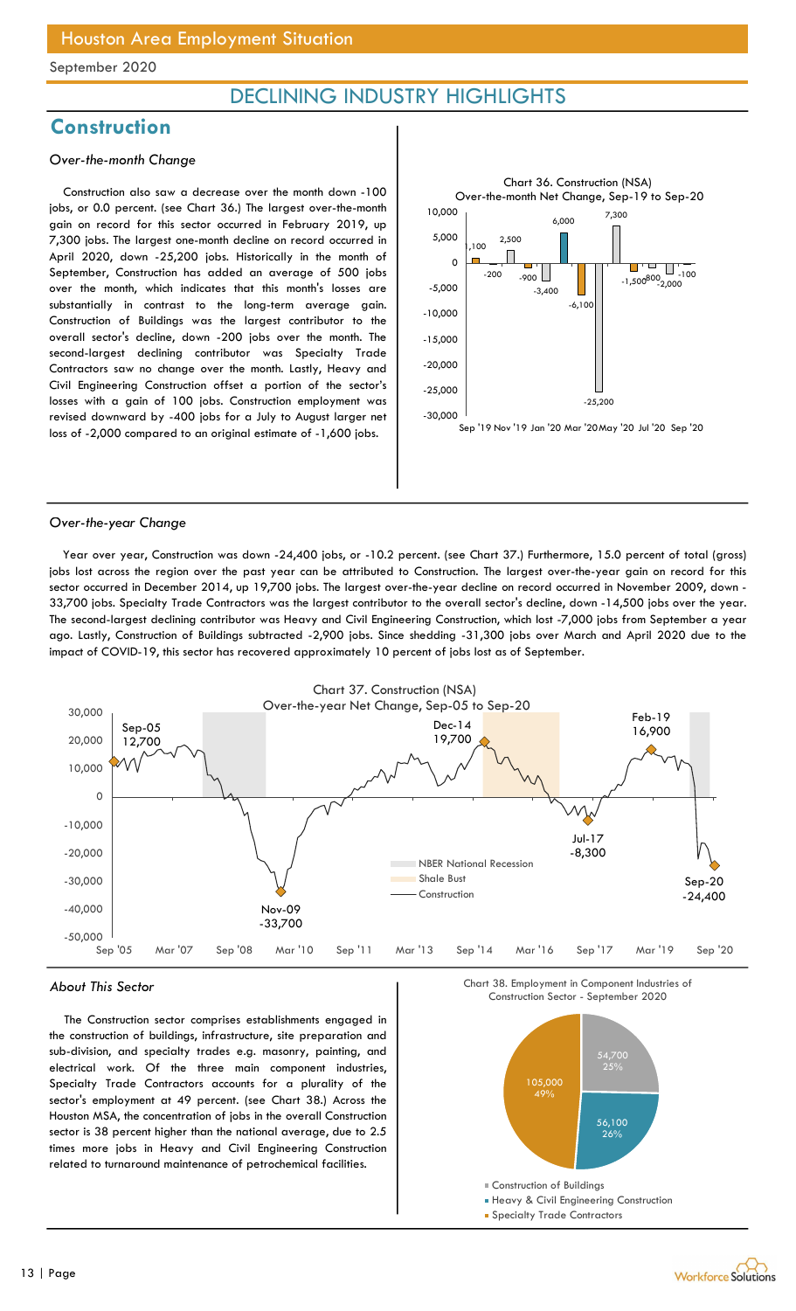### DECLINING INDUSTRY HIGHLIGHTS

### **Construction**

#### Over-the-month Change

Construction also saw a decrease over the month down -100 jobs, or 0.0 percent. (see Chart 36.) The largest over-the-month gain on record for this sector occurred in February 2019, up 7,300 jobs. The largest one-month decline on record occurred in April 2020, down -25,200 jobs. Historically in the month of September, Construction has added an average of 500 jobs over the month, which indicates that this month's losses are substantially in contrast to the long-term average gain. Construction of Buildings was the largest contributor to the overall sector's decline, down -200 jobs over the month. The second-largest declining contributor was Specialty Trade Contractors saw no change over the month. Lastly, Heavy and Civil Engineering Construction offset a portion of the sector's losses with a gain of 100 jobs. Construction employment was revised downward by -400 jobs for a July to August larger net loss of -2,000 compared to an original estimate of -1,600 jobs.



#### Over-the-year Change

Year over year, Construction was down -24,400 jobs, or -10.2 percent. (see Chart 37.) Furthermore, 15.0 percent of total (gross) jobs lost across the region over the past year can be attributed to Construction. The largest over-the-year gain on record for this sector occurred in December 2014, up 19,700 jobs. The largest over-the-year decline on record occurred in November 2009, down - 33,700 jobs. Specialty Trade Contractors was the largest contributor to the overall sector's decline, down -14,500 jobs over the year. The second-largest declining contributor was Heavy and Civil Engineering Construction, which lost -7,000 jobs from September a year ago. Lastly, Construction of Buildings subtracted -2,900 jobs. Since shedding -31,300 jobs over March and April 2020 due to the impact of COVID-19, this sector has recovered approximately 10 percent of jobs lost as of September.



#### About This Sector

The Construction sector comprises establishments engaged in the construction of buildings, infrastructure, site preparation and sub-division, and specialty trades e.g. masonry, painting, and electrical work. Of the three main component industries, Specialty Trade Contractors accounts for a plurality of the sector's employment at 49 percent. (see Chart 38.) Across the Houston MSA, the concentration of jobs in the overall Construction sector is 38 percent higher than the national average, due to 2.5 times more jobs in Heavy and Civil Engineering Construction related to turnaround maintenance of petrochemical facilities.

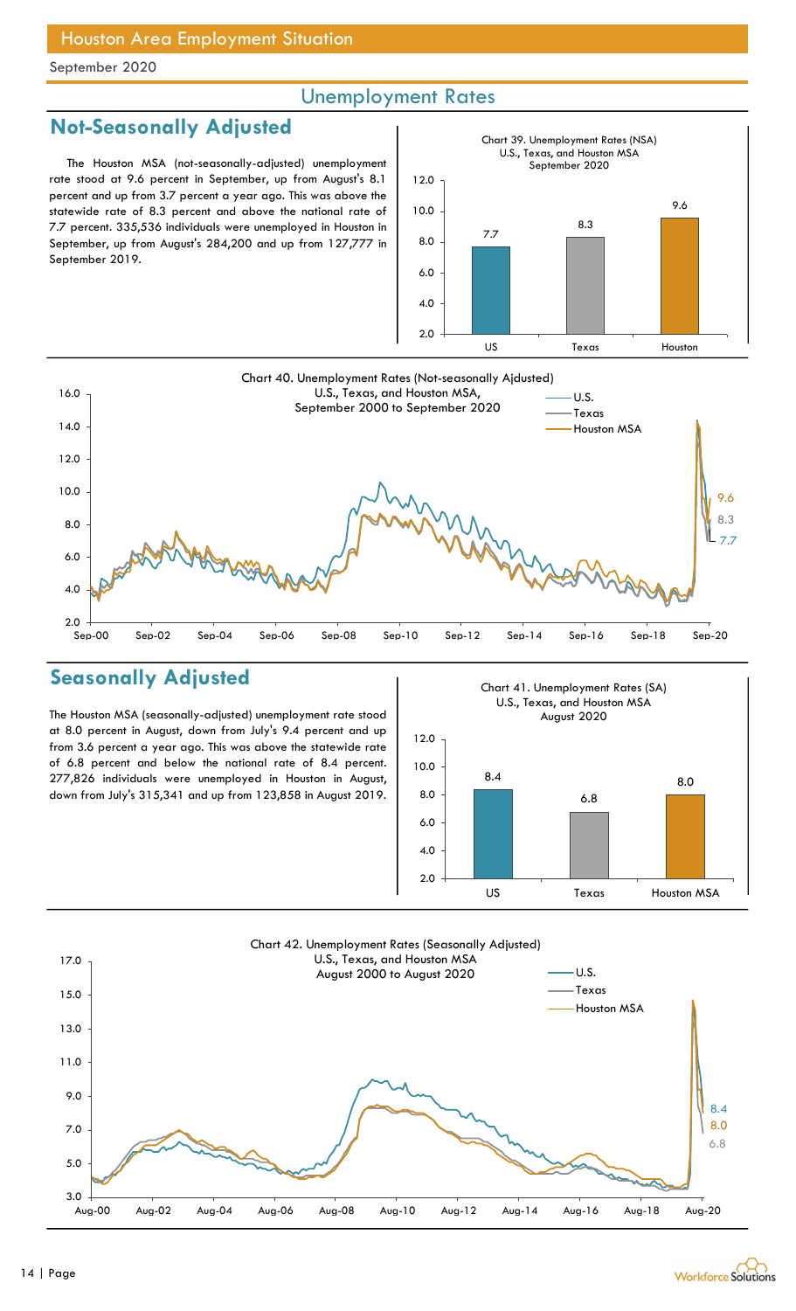### Unemployment Rates

### Not-Seasonally Adjusted

The Houston MSA (not-seasonally-adjusted) unemployment rate stood at 9.6 percent in September, up from August's 8.1 percent and up from 3.7 percent a year ago. This was above the statewide rate of 8.3 percent and above the national rate of 7.7 percent. 335,536 individuals were unemployed in Houston in September, up from August's 284,200 and up from 127,777 in September 2019.





### Seasonally Adjusted

The Houston MSA (seasonally-adjusted) unemployment rate stood at 8.0 percent in August, down from July's 9.4 percent and up from 3.6 percent a year ago. This was above the statewide rate of 6.8 percent and below the national rate of 8.4 percent. 277,826 individuals were unemployed in Houston in August, down from July's 315,341 and up from 123,858 in August 2019.